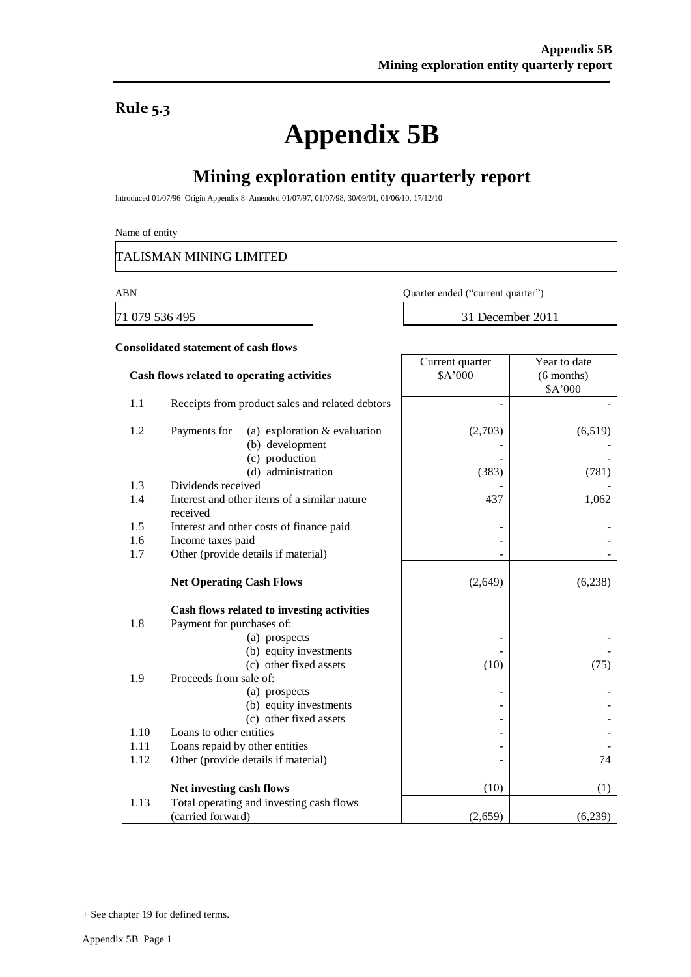### **Rule 5.3**

# **Appendix 5B**

## **Mining exploration entity quarterly report**

Introduced 01/07/96 Origin Appendix 8 Amended 01/07/97, 01/07/98, 30/09/01, 01/06/10, 17/12/10

Name of entity

TALISMAN MINING LIMITED

ABN Quarter ended ("current quarter")

Current quarter

71 079 536 495 31 December 2011

Year to date

#### **Consolidated statement of cash flows**

|      | Cash flows related to operating activities       | \$A'000 | $(6$ months) |
|------|--------------------------------------------------|---------|--------------|
|      |                                                  |         | \$A'000      |
| 1.1  | Receipts from product sales and related debtors  |         |              |
| 1.2  | Payments for<br>(a) exploration $&$ evaluation   | (2,703) | (6,519)      |
|      | (b) development                                  |         |              |
|      | (c) production                                   |         |              |
|      | (d) administration                               | (383)   | (781)        |
| 1.3  | Dividends received                               |         |              |
| 1.4  | Interest and other items of a similar nature     | 437     | 1,062        |
|      | received                                         |         |              |
| 1.5  | Interest and other costs of finance paid         |         |              |
| 1.6  | Income taxes paid                                |         |              |
| 1.7  | Other (provide details if material)              |         |              |
|      |                                                  |         |              |
|      | <b>Net Operating Cash Flows</b>                  | (2,649) | (6,238)      |
|      |                                                  |         |              |
|      | Cash flows related to investing activities       |         |              |
| 1.8  | Payment for purchases of:                        |         |              |
|      | (a) prospects                                    |         |              |
|      | (b) equity investments                           |         |              |
|      | (c) other fixed assets                           | (10)    | (75)         |
| 1.9  | Proceeds from sale of:                           |         |              |
|      | (a) prospects                                    |         |              |
|      | (b) equity investments<br>(c) other fixed assets |         |              |
| 1.10 | Loans to other entities                          |         |              |
| 1.11 | Loans repaid by other entities                   |         |              |
| 1.12 | Other (provide details if material)              |         | 74           |
|      |                                                  |         |              |
|      | Net investing cash flows                         | (10)    | (1)          |
| 1.13 | Total operating and investing cash flows         |         |              |
|      | (carried forward)                                | (2,659) | (6,239)      |

<sup>+</sup> See chapter 19 for defined terms.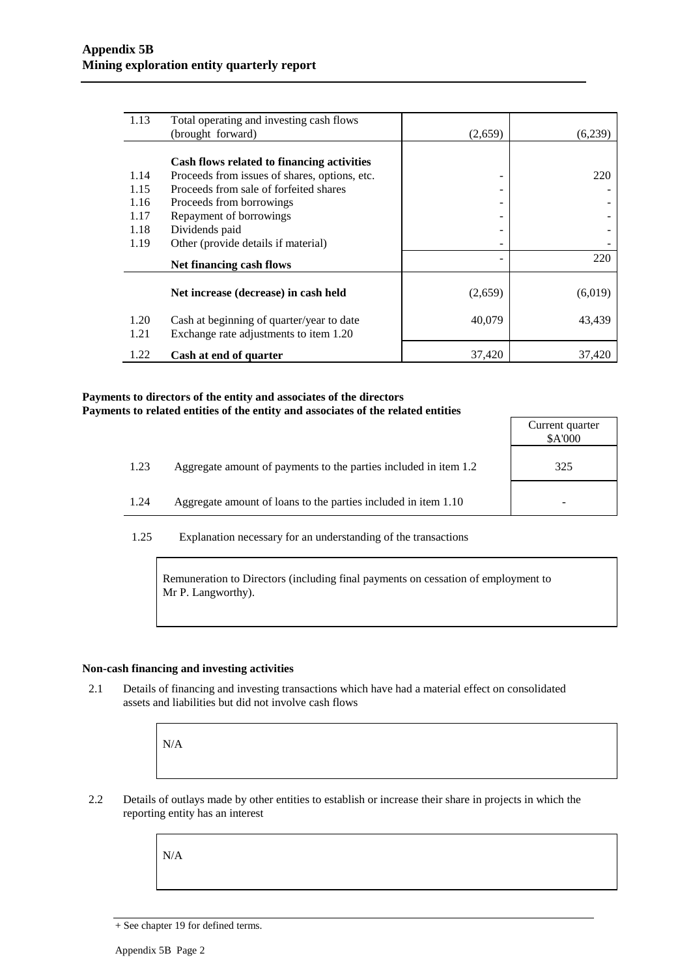| 1.13         | Total operating and investing cash flows                                            |         |         |
|--------------|-------------------------------------------------------------------------------------|---------|---------|
|              | (brought forward)                                                                   | (2,659) | (6,239) |
|              |                                                                                     |         |         |
|              | Cash flows related to financing activities                                          |         |         |
| 1.14         | Proceeds from issues of shares, options, etc.                                       |         | 220     |
| 1.15         | Proceeds from sale of forfeited shares                                              |         |         |
| 1.16         | Proceeds from borrowings                                                            |         |         |
| 1.17         | Repayment of borrowings                                                             |         |         |
| 1.18         | Dividends paid                                                                      |         |         |
| 1.19         | Other (provide details if material)                                                 |         |         |
|              | Net financing cash flows                                                            |         | 220     |
|              | Net increase (decrease) in cash held                                                | (2,659) | (6,019) |
| 1.20<br>1.21 | Cash at beginning of quarter/year to date<br>Exchange rate adjustments to item 1.20 | 40,079  | 43,439  |
| 1.22         | Cash at end of quarter                                                              | 37,420  | 37,420  |

#### **Payments to directors of the entity and associates of the directors Payments to related entities of the entity and associates of the related entities**

|      |                                                                  | Current quarter<br>\$A'000 |
|------|------------------------------------------------------------------|----------------------------|
| 1.23 | Aggregate amount of payments to the parties included in item 1.2 | 325                        |
| 1.24 | Aggregate amount of loans to the parties included in item 1.10   |                            |

1.25 Explanation necessary for an understanding of the transactions

Remuneration to Directors (including final payments on cessation of employment to Mr P. Langworthy).

#### **Non-cash financing and investing activities**

2.1 Details of financing and investing transactions which have had a material effect on consolidated assets and liabilities but did not involve cash flows

N/A

2.2 Details of outlays made by other entities to establish or increase their share in projects in which the reporting entity has an interest

N/A

<sup>+</sup> See chapter 19 for defined terms.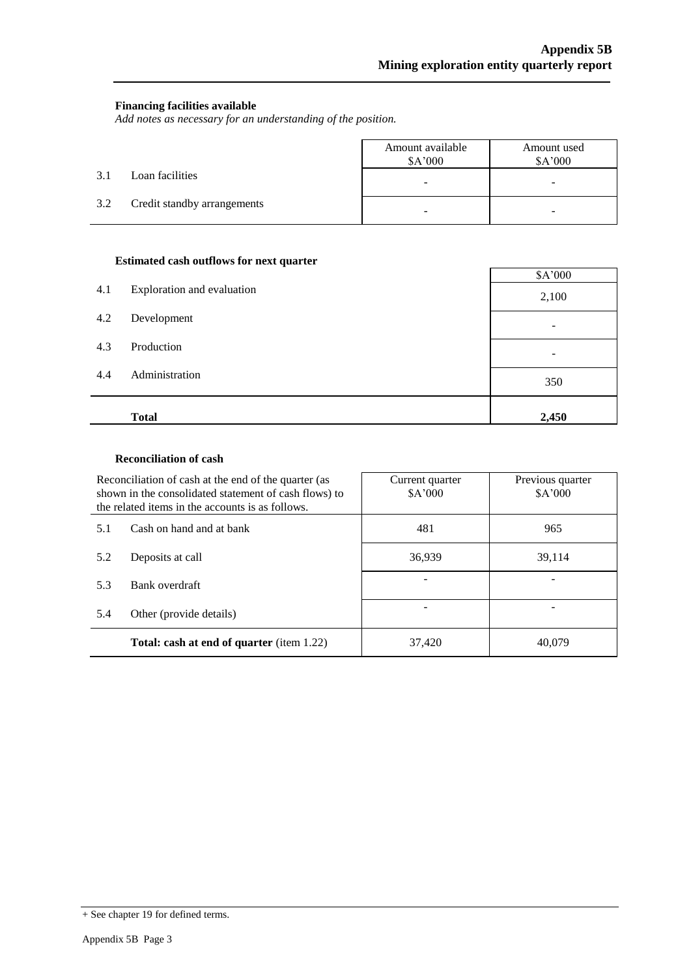#### **Financing facilities available**

*Add notes as necessary for an understanding of the position.*

|     |                             | Amount available<br>\$A'000 | Amount used<br>\$A'000 |
|-----|-----------------------------|-----------------------------|------------------------|
| 3.1 | Loan facilities             | -                           | -                      |
| 3.2 | Credit standby arrangements | $\overline{\phantom{0}}$    | -                      |

#### **Estimated cash outflows for next quarter**

|     | л.                         | \$A'000         |
|-----|----------------------------|-----------------|
| 4.1 | Exploration and evaluation | 2,100           |
| 4.2 | Development                | $\qquad \qquad$ |
| 4.3 | Production                 | $\qquad \qquad$ |
| 4.4 | Administration             | 350             |
|     | <b>Total</b>               | 2,450           |

#### **Reconciliation of cash**

| Reconciliation of cash at the end of the quarter (as<br>shown in the consolidated statement of cash flows) to<br>the related items in the accounts is as follows. |                | Current quarter<br>\$A'000 | Previous quarter<br>\$A'000 |  |
|-------------------------------------------------------------------------------------------------------------------------------------------------------------------|----------------|----------------------------|-----------------------------|--|
| Cash on hand and at bank<br>5.1<br>5.2<br>Deposits at call                                                                                                        |                | 481                        | 965                         |  |
|                                                                                                                                                                   |                | 36,939                     | 39,114                      |  |
| 5.3                                                                                                                                                               | Bank overdraft |                            |                             |  |
| 5.4<br>Other (provide details)<br><b>Total: cash at end of quarter</b> (item 1.22)                                                                                |                |                            |                             |  |
|                                                                                                                                                                   |                | 37,420                     | 40.079                      |  |

<sup>+</sup> See chapter 19 for defined terms.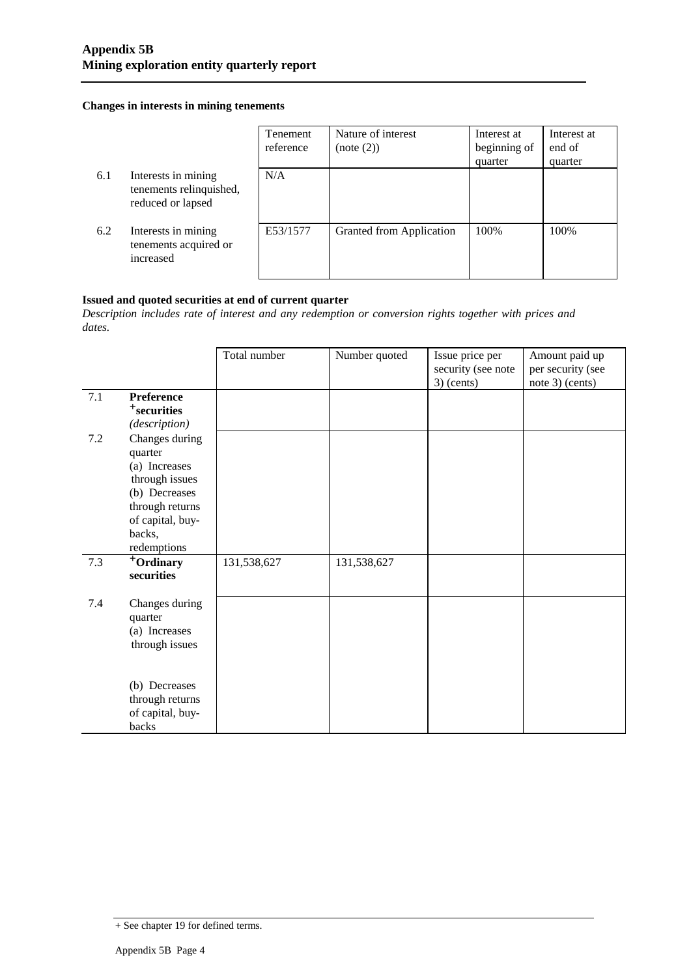#### **Changes in interests in mining tenements**

|     |                                                                     | Tenement<br>reference | Nature of interest<br>(note (2)) | Interest at<br>beginning of<br>quarter | Interest at<br>end of<br>quarter |
|-----|---------------------------------------------------------------------|-----------------------|----------------------------------|----------------------------------------|----------------------------------|
| 6.1 | Interests in mining<br>tenements relinquished,<br>reduced or lapsed | N/A                   |                                  |                                        |                                  |
| 6.2 | Interests in mining<br>tenements acquired or<br>increased           | E53/1577              | Granted from Application         | 100%                                   | 100%                             |

#### **Issued and quoted securities at end of current quarter**

*Description includes rate of interest and any redemption or conversion rights together with prices and dates.*

|     |                                                                                                                                               | Total number | Number quoted | Issue price per<br>security (see note<br>$3)$ (cents) | Amount paid up<br>per security (see<br>note 3) (cents) |
|-----|-----------------------------------------------------------------------------------------------------------------------------------------------|--------------|---------------|-------------------------------------------------------|--------------------------------------------------------|
| 7.1 | Preference<br><sup>+</sup> securities<br>(description)                                                                                        |              |               |                                                       |                                                        |
| 7.2 | Changes during<br>quarter<br>(a) Increases<br>through issues<br>(b) Decreases<br>through returns<br>of capital, buy-<br>backs,<br>redemptions |              |               |                                                       |                                                        |
| 7.3 | $\overline{+}$ Ordinary<br>securities                                                                                                         | 131,538,627  | 131,538,627   |                                                       |                                                        |
| 7.4 | Changes during<br>quarter<br>(a) Increases<br>through issues                                                                                  |              |               |                                                       |                                                        |
|     | (b) Decreases<br>through returns<br>of capital, buy-<br>backs                                                                                 |              |               |                                                       |                                                        |

<sup>+</sup> See chapter 19 for defined terms.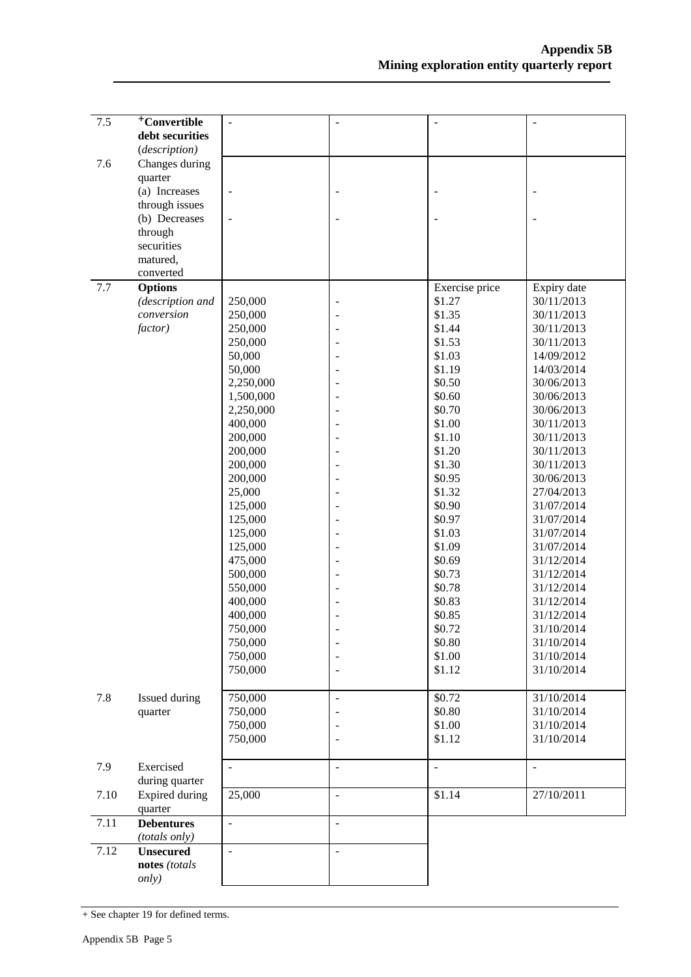| 7.5  | <sup>+</sup> Convertible | $\overline{a}$           | ÷,                       | $\blacksquare$           | ÷,          |
|------|--------------------------|--------------------------|--------------------------|--------------------------|-------------|
|      |                          |                          |                          |                          |             |
|      | debt securities          |                          |                          |                          |             |
|      | (description)            |                          |                          |                          |             |
| 7.6  | Changes during           |                          |                          |                          |             |
|      | quarter                  |                          |                          |                          |             |
|      | (a) Increases            | $\blacksquare$           | $\overline{\phantom{0}}$ |                          |             |
|      | through issues           |                          |                          |                          |             |
|      | (b) Decreases            | $\blacksquare$           |                          |                          |             |
|      | through                  |                          |                          |                          |             |
|      | securities               |                          |                          |                          |             |
|      | matured,                 |                          |                          |                          |             |
|      | converted                |                          |                          |                          |             |
|      |                          |                          |                          |                          |             |
| 7.7  | <b>Options</b>           |                          |                          | Exercise price           | Expiry date |
|      | (description and         | 250,000                  | $\overline{a}$           | \$1.27                   | 30/11/2013  |
|      | conversion               | 250,000                  |                          | \$1.35                   | 30/11/2013  |
|      | factor)                  | 250,000                  |                          | \$1.44                   | 30/11/2013  |
|      |                          | 250,000                  |                          | \$1.53                   | 30/11/2013  |
|      |                          | 50,000                   |                          | \$1.03                   | 14/09/2012  |
|      |                          | 50,000                   |                          | \$1.19                   | 14/03/2014  |
|      |                          | 2,250,000                |                          | \$0.50                   | 30/06/2013  |
|      |                          | 1,500,000                |                          | \$0.60                   | 30/06/2013  |
|      |                          | 2,250,000                |                          | \$0.70                   | 30/06/2013  |
|      |                          | 400,000                  |                          | \$1.00                   | 30/11/2013  |
|      |                          |                          |                          |                          | 30/11/2013  |
|      |                          | 200,000                  |                          | \$1.10                   |             |
|      |                          | 200,000                  |                          | \$1.20                   | 30/11/2013  |
|      |                          | 200,000                  |                          | \$1.30                   | 30/11/2013  |
|      |                          | 200,000                  |                          | \$0.95                   | 30/06/2013  |
|      |                          | 25,000                   |                          | \$1.32                   | 27/04/2013  |
|      |                          | 125,000                  |                          | \$0.90                   | 31/07/2014  |
|      |                          | 125,000                  |                          | \$0.97                   | 31/07/2014  |
|      |                          | 125,000                  |                          | \$1.03                   | 31/07/2014  |
|      |                          | 125,000                  | ÷,                       | \$1.09                   | 31/07/2014  |
|      |                          | 475,000                  |                          | \$0.69                   | 31/12/2014  |
|      |                          | 500,000                  |                          | \$0.73                   | 31/12/2014  |
|      |                          | 550,000                  |                          | \$0.78                   | 31/12/2014  |
|      |                          |                          |                          |                          |             |
|      |                          | 400,000                  |                          | \$0.83                   | 31/12/2014  |
|      |                          | 400,000                  |                          | \$0.85                   | 31/12/2014  |
|      |                          | 750,000                  |                          | \$0.72                   | 31/10/2014  |
|      |                          | 750,000                  |                          | \$0.80                   | 31/10/2014  |
|      |                          | 750,000                  |                          | \$1.00                   | 31/10/2014  |
|      |                          | 750,000                  |                          | \$1.12                   | 31/10/2014  |
|      |                          |                          |                          |                          |             |
| 7.8  | Issued during            | 750,000                  | $\overline{\phantom{a}}$ | \$0.72                   | 31/10/2014  |
|      | quarter                  | 750,000                  |                          | \$0.80                   | 31/10/2014  |
|      |                          | 750,000                  |                          | \$1.00                   | 31/10/2014  |
|      |                          | 750,000                  |                          | \$1.12                   | 31/10/2014  |
|      |                          |                          |                          |                          |             |
|      |                          |                          |                          |                          |             |
| 7.9  | Exercised                | $\overline{a}$           | $\overline{a}$           | $\overline{\phantom{a}}$ |             |
|      | during quarter           |                          |                          |                          |             |
| 7.10 | Expired during           | 25,000                   | ÷,                       | \$1.14                   | 27/10/2011  |
|      | quarter                  |                          |                          |                          |             |
| 7.11 | <b>Debentures</b>        | $\overline{a}$           | $\overline{a}$           |                          |             |
|      | (totals only)            |                          |                          |                          |             |
| 7.12 | <b>Unsecured</b>         | $\overline{\phantom{a}}$ | $\overline{a}$           |                          |             |
|      | notes (totals            |                          |                          |                          |             |
|      |                          |                          |                          |                          |             |
|      | only)                    |                          |                          |                          |             |

<sup>+</sup> See chapter 19 for defined terms.